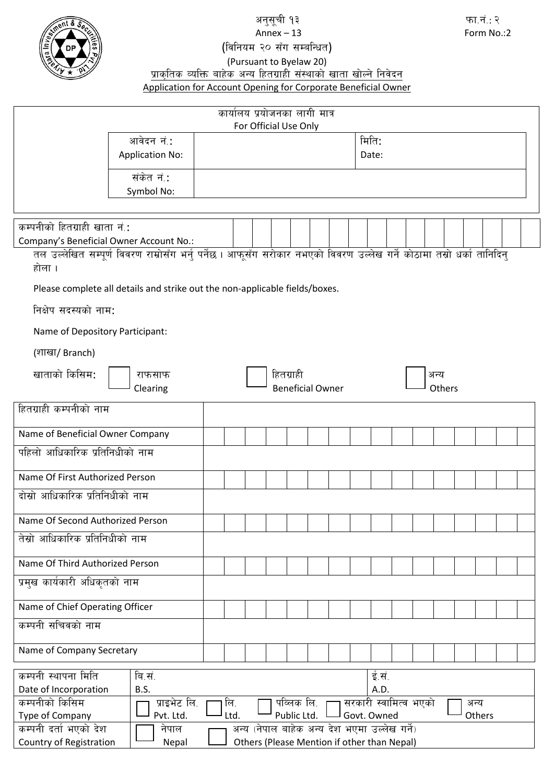

# Annex  $-13$

# (विनियम २० सँग सम्बन्धित)

#### (Pursuant to Byelaw 20) <u>प्राकृतिक व्यक्ति बाहेक अन्य हितग्राही संस्थाको खाता खोल्ने निवेदन</u> Application for Account Opening for Corporate Beneficial Owner

| कार्यालय प्रयोजनका लागी मात्र                                                                                                 |                                                                                                                        |     |  |  |           |                         |                                             |                       |       |  |      |        |      |  |  |  |
|-------------------------------------------------------------------------------------------------------------------------------|------------------------------------------------------------------------------------------------------------------------|-----|--|--|-----------|-------------------------|---------------------------------------------|-----------------------|-------|--|------|--------|------|--|--|--|
| For Official Use Only                                                                                                         |                                                                                                                        |     |  |  |           |                         |                                             |                       |       |  |      |        |      |  |  |  |
|                                                                                                                               | आवेदन नं.:                                                                                                             |     |  |  |           |                         |                                             |                       | मिति: |  |      |        |      |  |  |  |
|                                                                                                                               | <b>Application No:</b>                                                                                                 |     |  |  |           |                         |                                             |                       | Date: |  |      |        |      |  |  |  |
|                                                                                                                               | संकेत नं.:                                                                                                             |     |  |  |           |                         |                                             |                       |       |  |      |        |      |  |  |  |
|                                                                                                                               | Symbol No:                                                                                                             |     |  |  |           |                         |                                             |                       |       |  |      |        |      |  |  |  |
|                                                                                                                               |                                                                                                                        |     |  |  |           |                         |                                             |                       |       |  |      |        |      |  |  |  |
| कम्पनीको हितग्राही खाता नं.:                                                                                                  |                                                                                                                        |     |  |  |           |                         |                                             |                       |       |  |      |        |      |  |  |  |
| Company's Beneficial Owner Account No.:                                                                                       |                                                                                                                        |     |  |  |           |                         |                                             |                       |       |  |      |        |      |  |  |  |
|                                                                                                                               | तल उल्लेखित सम्पूर्ण विवरण राम्रोसँग भर्नु पर्नेछ । आफूसँग सरोकार नभएको विवरण उल्लेख गर्ने कोठामा तस्रो धर्का तानिदिन् |     |  |  |           |                         |                                             |                       |       |  |      |        |      |  |  |  |
| होला ।                                                                                                                        |                                                                                                                        |     |  |  |           |                         |                                             |                       |       |  |      |        |      |  |  |  |
|                                                                                                                               |                                                                                                                        |     |  |  |           |                         |                                             |                       |       |  |      |        |      |  |  |  |
|                                                                                                                               | Please complete all details and strike out the non-applicable fields/boxes.                                            |     |  |  |           |                         |                                             |                       |       |  |      |        |      |  |  |  |
| निक्षेप सदस्यको नाम:                                                                                                          |                                                                                                                        |     |  |  |           |                         |                                             |                       |       |  |      |        |      |  |  |  |
| Name of Depository Participant:                                                                                               |                                                                                                                        |     |  |  |           |                         |                                             |                       |       |  |      |        |      |  |  |  |
| (शाखा/ Branch)                                                                                                                |                                                                                                                        |     |  |  |           |                         |                                             |                       |       |  |      |        |      |  |  |  |
| खाताको किसिम:                                                                                                                 |                                                                                                                        |     |  |  | हितग्राही |                         |                                             |                       |       |  | अन्य |        |      |  |  |  |
|                                                                                                                               | राफसाफ<br>Clearing                                                                                                     |     |  |  |           | <b>Beneficial Owner</b> |                                             |                       |       |  |      | Others |      |  |  |  |
|                                                                                                                               |                                                                                                                        |     |  |  |           |                         |                                             |                       |       |  |      |        |      |  |  |  |
| हितग्राही कम्पनीको नाम                                                                                                        |                                                                                                                        |     |  |  |           |                         |                                             |                       |       |  |      |        |      |  |  |  |
| Name of Beneficial Owner Company                                                                                              |                                                                                                                        |     |  |  |           |                         |                                             |                       |       |  |      |        |      |  |  |  |
| पहिलो आधिकारिक प्रतिनिधीको नाम                                                                                                |                                                                                                                        |     |  |  |           |                         |                                             |                       |       |  |      |        |      |  |  |  |
| Name Of First Authorized Person                                                                                               |                                                                                                                        |     |  |  |           |                         |                                             |                       |       |  |      |        |      |  |  |  |
| दोस्रो आधिकारिक प्रतिनिधीको नाम                                                                                               |                                                                                                                        |     |  |  |           |                         |                                             |                       |       |  |      |        |      |  |  |  |
| Name Of Second Authorized Person                                                                                              |                                                                                                                        |     |  |  |           |                         |                                             |                       |       |  |      |        |      |  |  |  |
| तेस्रो आधिकारिक प्रतिनिधीको नाम                                                                                               |                                                                                                                        |     |  |  |           |                         |                                             |                       |       |  |      |        |      |  |  |  |
|                                                                                                                               |                                                                                                                        |     |  |  |           |                         |                                             |                       |       |  |      |        |      |  |  |  |
| Name Of Third Authorized Person                                                                                               |                                                                                                                        |     |  |  |           |                         |                                             |                       |       |  |      |        |      |  |  |  |
| प्रमुख कार्यकारी अधिकृतको नाम                                                                                                 |                                                                                                                        |     |  |  |           |                         |                                             |                       |       |  |      |        |      |  |  |  |
| Name of Chief Operating Officer                                                                                               |                                                                                                                        |     |  |  |           |                         |                                             |                       |       |  |      |        |      |  |  |  |
| कम्पनी सचिवको नाम                                                                                                             |                                                                                                                        |     |  |  |           |                         |                                             |                       |       |  |      |        |      |  |  |  |
|                                                                                                                               |                                                                                                                        |     |  |  |           |                         |                                             |                       |       |  |      |        |      |  |  |  |
| Name of Company Secretary                                                                                                     |                                                                                                                        |     |  |  |           |                         |                                             |                       |       |  |      |        |      |  |  |  |
| कम्पनी स्थापना मिति                                                                                                           | बि.सं.                                                                                                                 |     |  |  |           |                         |                                             |                       | ई.सं. |  |      |        |      |  |  |  |
| Date of Incorporation                                                                                                         | B.S.<br>A.D.                                                                                                           |     |  |  |           |                         |                                             |                       |       |  |      |        |      |  |  |  |
| कम्पनीको किसिम                                                                                                                | प्राइभेट लि.                                                                                                           | लि. |  |  |           | पव्लिक लि.              |                                             | सरकारी स्वामित्व भएको |       |  |      |        | अन्य |  |  |  |
| Type of Company<br>Public Ltd.<br>Govt. Owned<br>Pvt. Ltd.<br>Ltd.<br>Others<br>अन्य (नेपाल बाहेक अन्य देश भएमा उल्लेख गर्ने) |                                                                                                                        |     |  |  |           |                         |                                             |                       |       |  |      |        |      |  |  |  |
| कम्पनी दर्ता भएको देश<br>Country of Registration                                                                              | नेपाल                                                                                                                  |     |  |  |           |                         | Others (Please Mention if other than Nepal) |                       |       |  |      |        |      |  |  |  |
|                                                                                                                               | Nepal                                                                                                                  |     |  |  |           |                         |                                             |                       |       |  |      |        |      |  |  |  |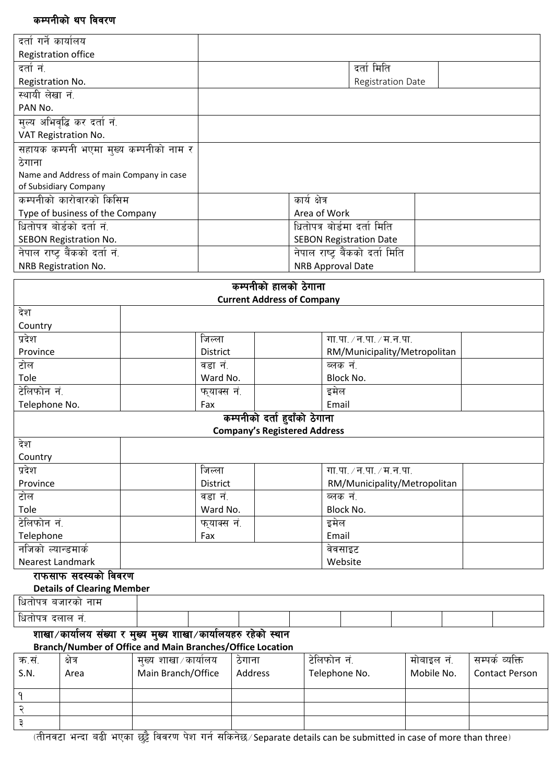### कम्पनीको थप विवरण

@  $\vec{r}$ 

|                         | कम्पनाका थप ाववरण                                               |                                                           |             |          |                                     |               |                                 |            |  |                       |
|-------------------------|-----------------------------------------------------------------|-----------------------------------------------------------|-------------|----------|-------------------------------------|---------------|---------------------------------|------------|--|-----------------------|
| दर्ता गर्ने कार्यालय    |                                                                 |                                                           |             |          |                                     |               |                                 |            |  |                       |
| Registration office     |                                                                 |                                                           |             |          |                                     |               |                                 |            |  |                       |
| दर्तानं.                |                                                                 |                                                           |             |          |                                     |               | दर्ता मिति                      |            |  |                       |
| Registration No.        |                                                                 |                                                           |             |          |                                     |               | Registration Date               |            |  |                       |
| स्थायी लेखा नं.         |                                                                 |                                                           |             |          |                                     |               |                                 |            |  |                       |
| PAN No.                 |                                                                 |                                                           |             |          |                                     |               |                                 |            |  |                       |
|                         |                                                                 |                                                           |             |          |                                     |               |                                 |            |  |                       |
|                         | मुल्य अभिवृद्धि कर दर्ता नं.<br>VAT Registration No.            |                                                           |             |          |                                     |               |                                 |            |  |                       |
|                         |                                                                 | सहायक कम्पनी भएमा मुख्य कम्पनीको नाम र                    |             |          |                                     |               |                                 |            |  |                       |
| ठेगाना                  |                                                                 |                                                           |             |          |                                     |               |                                 |            |  |                       |
|                         |                                                                 | Name and Address of main Company in case                  |             |          |                                     |               |                                 |            |  |                       |
|                         | of Subsidiary Company                                           |                                                           |             |          |                                     |               |                                 |            |  |                       |
|                         | कम्पनीको कारोवारको किसिम                                        |                                                           |             |          |                                     | कार्य क्षेत्र |                                 |            |  |                       |
|                         | Type of business of the Company                                 |                                                           |             |          |                                     |               | Area of Work                    |            |  |                       |
|                         | धितोपत्र बोर्डको दर्ता नं.                                      |                                                           |             |          |                                     |               | धितोपत्र बोर्डमा दर्ता मिति     |            |  |                       |
|                         | SEBON Registration No.                                          |                                                           |             |          |                                     |               | <b>SEBON Registration Date</b>  |            |  |                       |
|                         | नेपाल राष्ट्र बैंकको दर्ता नं.                                  |                                                           |             |          |                                     |               | नेपाल राष्ट्र बैंकको दर्ता मिति |            |  |                       |
|                         |                                                                 |                                                           |             |          |                                     |               |                                 |            |  |                       |
|                         | NRB Registration No.                                            |                                                           |             |          |                                     |               | <b>NRB Approval Date</b>        |            |  |                       |
|                         |                                                                 |                                                           |             |          | कम्पनीको हालको ठेगाना               |               |                                 |            |  |                       |
|                         |                                                                 |                                                           |             |          | <b>Current Address of Company</b>   |               |                                 |            |  |                       |
| देश                     |                                                                 |                                                           |             |          |                                     |               |                                 |            |  |                       |
| Country                 |                                                                 |                                                           |             |          |                                     |               |                                 |            |  |                       |
| प्रदेश                  |                                                                 |                                                           | जिल्ला      |          |                                     |               | गा.पा. $/$ न.पा. $/$ म.न.पा.    |            |  |                       |
| Province                |                                                                 |                                                           | District    |          |                                     |               | RM/Municipality/Metropolitan    |            |  |                       |
| टोल                     |                                                                 |                                                           | वडा नं.     |          |                                     |               | ब्लक नं.                        |            |  |                       |
| Tole                    |                                                                 |                                                           |             |          |                                     |               |                                 |            |  |                       |
| टेलिफोन नं.             |                                                                 |                                                           |             | Ward No. |                                     |               | Block No.                       |            |  |                       |
|                         |                                                                 |                                                           | फुयाक्स नं. |          |                                     |               | इमेल                            |            |  |                       |
| Telephone No.           |                                                                 |                                                           | Fax         |          |                                     |               | Email                           |            |  |                       |
|                         |                                                                 |                                                           |             |          | कम्पनीको दर्ता हुदाँको ठेगाना       |               |                                 |            |  |                       |
|                         |                                                                 |                                                           |             |          | <b>Company's Registered Address</b> |               |                                 |            |  |                       |
| देश                     |                                                                 |                                                           |             |          |                                     |               |                                 |            |  |                       |
| Country                 |                                                                 |                                                           |             |          |                                     |               |                                 |            |  |                       |
| प्रदेश                  |                                                                 |                                                           | जिल्ला      |          |                                     |               | गा.पा. / न.पा. / म.न.पा.        |            |  |                       |
| Province                |                                                                 |                                                           | District    |          |                                     |               | RM/Municipality/Metropolitan    |            |  |                       |
| टोल                     |                                                                 |                                                           | वडा नं.     |          |                                     |               | ब्लक नं.                        |            |  |                       |
| Tole                    |                                                                 |                                                           | Ward No.    |          |                                     |               | Block No.                       |            |  |                       |
| टेलिफोन नं.             |                                                                 |                                                           | फुयाक्स नं. |          |                                     |               | इमेल                            |            |  |                       |
| Telephone               |                                                                 |                                                           | Fax         |          |                                     |               | Email                           |            |  |                       |
| नजिको ल्यान्डमार्क      |                                                                 |                                                           |             |          |                                     | वेवसाइट       |                                 |            |  |                       |
| <b>Nearest Landmark</b> |                                                                 |                                                           |             |          |                                     |               | Website                         |            |  |                       |
|                         | राफसाफ सदस्यको विवरण                                            |                                                           |             |          |                                     |               |                                 |            |  |                       |
|                         | <b>Details of Clearing Member</b>                               |                                                           |             |          |                                     |               |                                 |            |  |                       |
| धितोपत्र बजारको नाम     |                                                                 |                                                           |             |          |                                     |               |                                 |            |  |                       |
| धितोपत्र दलाल नं.       |                                                                 |                                                           |             |          |                                     |               |                                 |            |  |                       |
|                         | शाखा/कार्यालय संख्या र मुख्य मुख्य शाखा/कार्यालयहरु रहेको स्थान |                                                           |             |          |                                     |               |                                 |            |  |                       |
|                         |                                                                 | Branch/Number of Office and Main Branches/Office Location |             |          |                                     |               |                                 |            |  |                       |
| क.सं.                   | क्षेत्र                                                         | मुख्य शाखा⁄कार्यालय                                       |             | ठेगाना   |                                     |               | टेलिफोन नं.                     | मोबाइल नं. |  | सम्पर्क व्यक्ति       |
| S.N.                    | Area                                                            | Main Branch/Office                                        |             | Address  |                                     |               | Telephone No.                   | Mobile No. |  | <b>Contact Person</b> |
|                         |                                                                 |                                                           |             |          |                                     |               |                                 |            |  |                       |
| ٩                       |                                                                 |                                                           |             |          |                                     |               |                                 |            |  |                       |

-tLgj6f eGbf a9L ePsf 5'§} ljj/0f k]z ug{ ;lsg]5÷Separate details can be submitted in case of more than three\_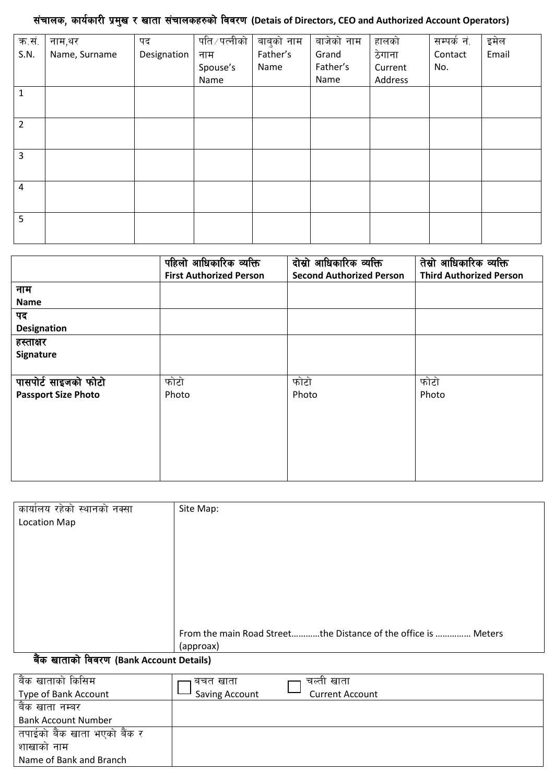# <u>संचालक, कार्यकारी प्रमुख र खाता संचालकहरुको विवरण (Detais of Directors, CEO and Authorized Account Operators)</u>

| नाम,थर        | पद          | पति ∕ पत्नीको |          | बाजेको नाम | हालको   | सम्पर्क नं. | इमेल  |
|---------------|-------------|---------------|----------|------------|---------|-------------|-------|
| Name, Surname | Designation | नाम           | Father's | Grand      | ठेगाना  | Contact     | Email |
|               |             | Spouse's      | Name     | Father's   | Current | No.         |       |
|               |             | Name          |          | Name       | Address |             |       |
|               |             |               |          |            |         |             |       |
|               |             |               |          |            |         |             |       |
|               |             |               |          |            |         |             |       |
|               |             |               |          |            |         |             |       |
|               |             |               |          |            |         |             |       |
|               |             |               |          |            |         |             |       |
|               |             |               |          |            |         |             |       |
|               |             |               |          |            |         |             |       |
|               |             |               |          |            |         |             |       |
|               |             |               |          |            |         |             |       |
|               |             |               |          | बाबुको नाम |         |             |       |

|                            | पहिलो आधिकारिक व्यक्ति         | दोस्रो आधिकारिक व्यक्ति         | तेस्रो आधिकारिक व्यक्ति        |
|----------------------------|--------------------------------|---------------------------------|--------------------------------|
|                            | <b>First Authorized Person</b> | <b>Second Authorized Person</b> | <b>Third Authorized Person</b> |
| नाम                        |                                |                                 |                                |
| <b>Name</b>                |                                |                                 |                                |
| पद                         |                                |                                 |                                |
| <b>Designation</b>         |                                |                                 |                                |
| हस्ताक्षर                  |                                |                                 |                                |
| Signature                  |                                |                                 |                                |
|                            |                                |                                 |                                |
| पासपोर्ट साइजको फोटो       | फोटो                           | फोटो                            | फोटो                           |
| <b>Passport Size Photo</b> | Photo                          | Photo                           | Photo                          |
|                            |                                |                                 |                                |
|                            |                                |                                 |                                |
|                            |                                |                                 |                                |
|                            |                                |                                 |                                |
|                            |                                |                                 |                                |
|                            |                                |                                 |                                |

| कार्यालय रहेको स्थानको नक्सा             | Site Map:                                                      |
|------------------------------------------|----------------------------------------------------------------|
| <b>Location Map</b>                      |                                                                |
|                                          |                                                                |
|                                          |                                                                |
|                                          |                                                                |
|                                          |                                                                |
|                                          |                                                                |
|                                          |                                                                |
|                                          |                                                                |
|                                          | From the main Road Streetthe Distance of the office is  Meters |
|                                          | (approax)                                                      |
| बैंक खाताको विवरण (Bank Account Details) |                                                                |

| बैंक खाताको किसिम<br>Type of Bank Account | बचत खाता<br>Saving Account | चल्ती खाता<br><b>Current Account</b> |
|-------------------------------------------|----------------------------|--------------------------------------|
| बैंक खाता नम्बर                           |                            |                                      |
| <b>Bank Account Number</b>                |                            |                                      |
| तपाईको बैंक खाता भएको बैंक र              |                            |                                      |
| शाखाको नाम                                |                            |                                      |
| Name of Bank and Branch                   |                            |                                      |